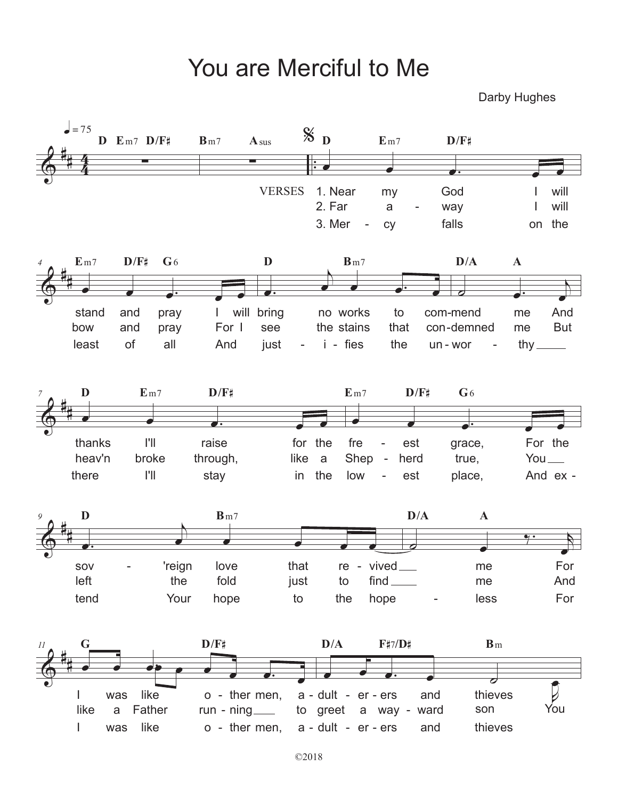## You are Merciful to Me

Darby Hughes